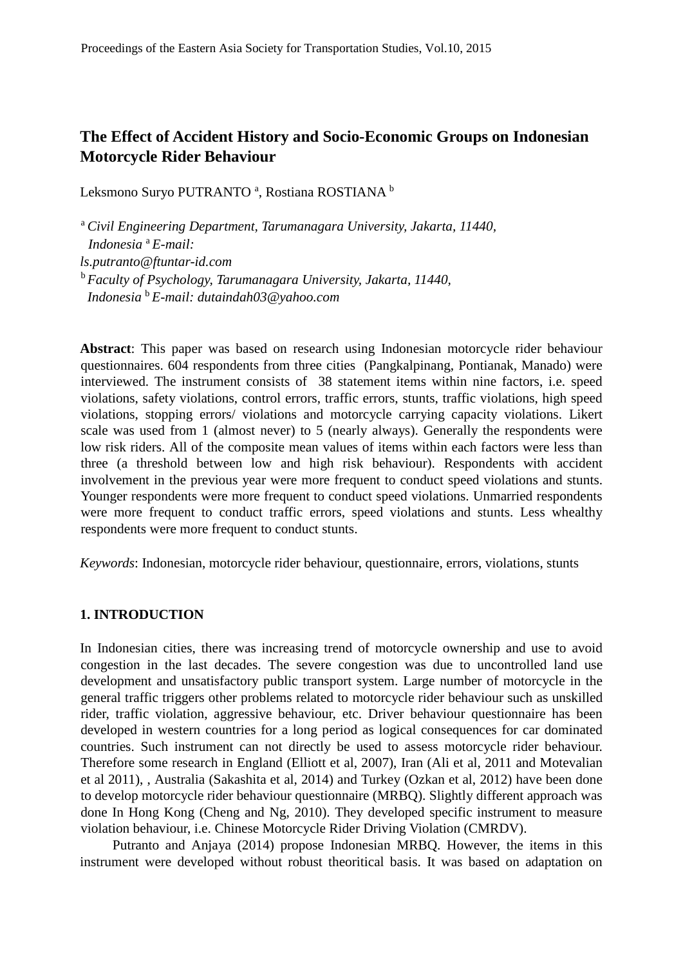# **The Effect of Accident History and Socio-Economic Groups on Indonesian Motorcycle Rider Behaviour**

Leksmono Suryo PUTRANTO ª, Rostiana ROSTIANA <sup>b</sup>

<sup>a</sup> *Civil Engineering Department, Tarumanagara University, Jakarta, 11440, Indonesia* <sup>a</sup> *E-mail: ls.putranto@ftuntar-id.com*  <sup>b</sup>*Faculty of Psychology, Tarumanagara University, Jakarta, 11440, Indonesia* <sup>b</sup> *E-mail: dutaindah03@yahoo.com* 

**Abstract**: This paper was based on research using Indonesian motorcycle rider behaviour questionnaires. 604 respondents from three cities (Pangkalpinang, Pontianak, Manado) were interviewed. The instrument consists of 38 statement items within nine factors, i.e. speed violations, safety violations, control errors, traffic errors, stunts, traffic violations, high speed violations, stopping errors/ violations and motorcycle carrying capacity violations. Likert scale was used from 1 (almost never) to 5 (nearly always). Generally the respondents were low risk riders. All of the composite mean values of items within each factors were less than three (a threshold between low and high risk behaviour). Respondents with accident involvement in the previous year were more frequent to conduct speed violations and stunts. Younger respondents were more frequent to conduct speed violations. Unmarried respondents were more frequent to conduct traffic errors, speed violations and stunts. Less whealthy respondents were more frequent to conduct stunts.

*Keywords*: Indonesian, motorcycle rider behaviour, questionnaire, errors, violations, stunts

#### **1. INTRODUCTION**

In Indonesian cities, there was increasing trend of motorcycle ownership and use to avoid congestion in the last decades. The severe congestion was due to uncontrolled land use development and unsatisfactory public transport system. Large number of motorcycle in the general traffic triggers other problems related to motorcycle rider behaviour such as unskilled rider, traffic violation, aggressive behaviour, etc. Driver behaviour questionnaire has been developed in western countries for a long period as logical consequences for car dominated countries. Such instrument can not directly be used to assess motorcycle rider behaviour. Therefore some research in England (Elliott et al, 2007), Iran (Ali et al, 2011 and Motevalian et al 2011), , Australia (Sakashita et al, 2014) and Turkey (Ozkan et al, 2012) have been done to develop motorcycle rider behaviour questionnaire (MRBQ). Slightly different approach was done In Hong Kong (Cheng and Ng, 2010). They developed specific instrument to measure violation behaviour, i.e. Chinese Motorcycle Rider Driving Violation (CMRDV).

Putranto and Anjaya (2014) propose Indonesian MRBQ. However, the items in this instrument were developed without robust theoritical basis. It was based on adaptation on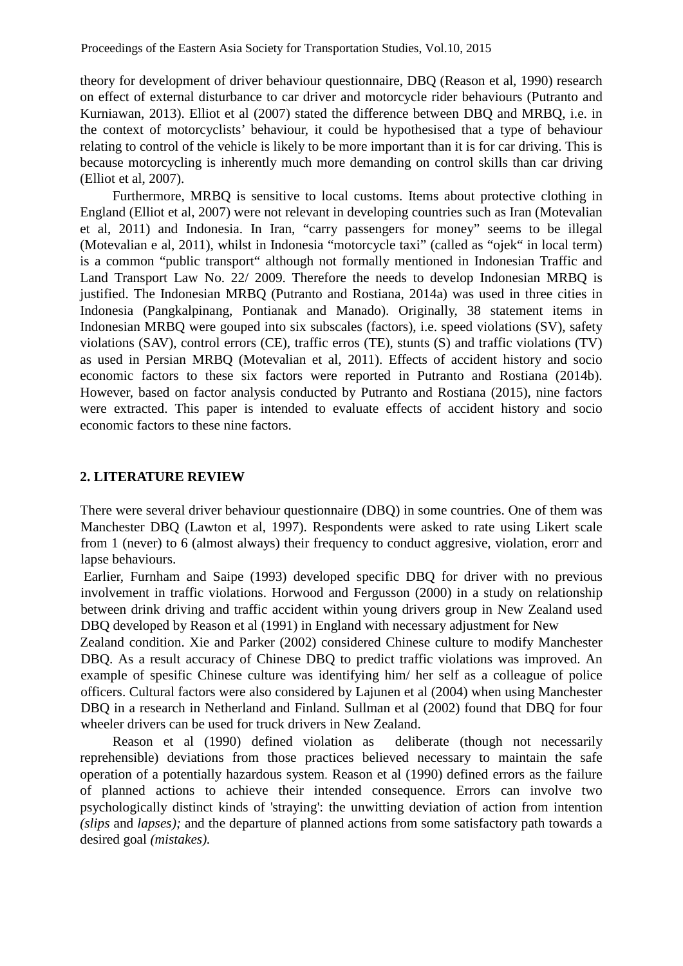theory for development of driver behaviour questionnaire, DBQ (Reason et al, 1990) research on effect of external disturbance to car driver and motorcycle rider behaviours (Putranto and Kurniawan, 2013). Elliot et al (2007) stated the difference between DBQ and MRBQ, i.e. in the context of motorcyclists' behaviour, it could be hypothesised that a type of behaviour relating to control of the vehicle is likely to be more important than it is for car driving. This is because motorcycling is inherently much more demanding on control skills than car driving (Elliot et al, 2007).

Furthermore, MRBQ is sensitive to local customs. Items about protective clothing in England (Elliot et al, 2007) were not relevant in developing countries such as Iran (Motevalian et al, 2011) and Indonesia. In Iran, "carry passengers for money" seems to be illegal (Motevalian e al, 2011), whilst in Indonesia "motorcycle taxi" (called as "ojek" in local term) is a common "public transport" although not formally mentioned in Indonesian Traffic and Land Transport Law No. 22/ 2009. Therefore the needs to develop Indonesian MRBQ is justified. The Indonesian MRBQ (Putranto and Rostiana, 2014a) was used in three cities in Indonesia (Pangkalpinang, Pontianak and Manado). Originally, 38 statement items in Indonesian MRBQ were gouped into six subscales (factors), i.e. speed violations (SV), safety violations (SAV), control errors (CE), traffic erros (TE), stunts (S) and traffic violations (TV) as used in Persian MRBQ (Motevalian et al, 2011). Effects of accident history and socio economic factors to these six factors were reported in Putranto and Rostiana (2014b). However, based on factor analysis conducted by Putranto and Rostiana (2015), nine factors were extracted. This paper is intended to evaluate effects of accident history and socio economic factors to these nine factors.

#### **2. LITERATURE REVIEW**

There were several driver behaviour questionnaire (DBQ) in some countries. One of them was Manchester DBQ (Lawton et al, 1997). Respondents were asked to rate using Likert scale from 1 (never) to 6 (almost always) their frequency to conduct aggresive, violation, erorr and lapse behaviours.

Earlier, Furnham and Saipe (1993) developed specific DBQ for driver with no previous involvement in traffic violations. Horwood and Fergusson (2000) in a study on relationship between drink driving and traffic accident within young drivers group in New Zealand used DBQ developed by Reason et al (1991) in England with necessary adjustment for New

Zealand condition. Xie and Parker (2002) considered Chinese culture to modify Manchester DBQ. As a result accuracy of Chinese DBQ to predict traffic violations was improved. An example of spesific Chinese culture was identifying him/ her self as a colleague of police officers. Cultural factors were also considered by Lajunen et al (2004) when using Manchester DBQ in a research in Netherland and Finland. Sullman et al (2002) found that DBQ for four wheeler drivers can be used for truck drivers in New Zealand.

Reason et al (1990) defined violation as deliberate (though not necessarily reprehensible) deviations from those practices believed necessary to maintain the safe operation of a potentially hazardous system. Reason et al (1990) defined errors as the failure of planned actions to achieve their intended consequence. Errors can involve two psychologically distinct kinds of 'straying': the unwitting deviation of action from intention *(slips* and *lapses);* and the departure of planned actions from some satisfactory path towards a desired goal *(mistakes).*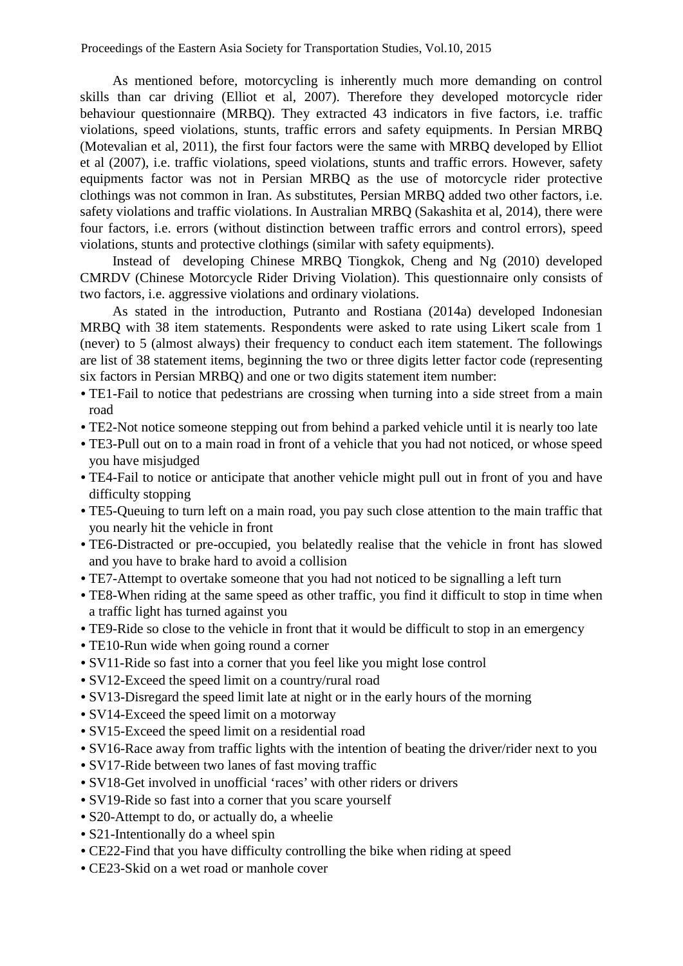As mentioned before, motorcycling is inherently much more demanding on control skills than car driving (Elliot et al, 2007). Therefore they developed motorcycle rider behaviour questionnaire (MRBQ). They extracted 43 indicators in five factors, i.e. traffic violations, speed violations, stunts, traffic errors and safety equipments. In Persian MRBQ (Motevalian et al, 2011), the first four factors were the same with MRBQ developed by Elliot et al (2007), i.e. traffic violations, speed violations, stunts and traffic errors. However, safety equipments factor was not in Persian MRBQ as the use of motorcycle rider protective clothings was not common in Iran. As substitutes, Persian MRBQ added two other factors, i.e. safety violations and traffic violations. In Australian MRBQ (Sakashita et al, 2014), there were four factors, i.e. errors (without distinction between traffic errors and control errors), speed violations, stunts and protective clothings (similar with safety equipments).

Instead of developing Chinese MRBQ Tiongkok, Cheng and Ng (2010) developed CMRDV (Chinese Motorcycle Rider Driving Violation). This questionnaire only consists of two factors, i.e. aggressive violations and ordinary violations.

As stated in the introduction, Putranto and Rostiana (2014a) developed Indonesian MRBQ with 38 item statements. Respondents were asked to rate using Likert scale from 1 (never) to 5 (almost always) their frequency to conduct each item statement. The followings are list of 38 statement items, beginning the two or three digits letter factor code (representing six factors in Persian MRBQ) and one or two digits statement item number:

- TE1-Fail to notice that pedestrians are crossing when turning into a side street from a main road
- TE2-Not notice someone stepping out from behind a parked vehicle until it is nearly too late
- TE3-Pull out on to a main road in front of a vehicle that you had not noticed, or whose speed you have misjudged
- TE4-Fail to notice or anticipate that another vehicle might pull out in front of you and have difficulty stopping
- TE5-Queuing to turn left on a main road, you pay such close attention to the main traffic that you nearly hit the vehicle in front
- TE6-Distracted or pre-occupied, you belatedly realise that the vehicle in front has slowed and you have to brake hard to avoid a collision
- TE7-Attempt to overtake someone that you had not noticed to be signalling a left turn
- TE8-When riding at the same speed as other traffic, you find it difficult to stop in time when a traffic light has turned against you
- TE9-Ride so close to the vehicle in front that it would be difficult to stop in an emergency
- TE10-Run wide when going round a corner
- SV11-Ride so fast into a corner that you feel like you might lose control
- SV12-Exceed the speed limit on a country/rural road
- SV13-Disregard the speed limit late at night or in the early hours of the morning
- SV14-Exceed the speed limit on a motorway
- SV15-Exceed the speed limit on a residential road
- SV16-Race away from traffic lights with the intention of beating the driver/rider next to you
- SV17-Ride between two lanes of fast moving traffic
- SV18-Get involved in unofficial 'races' with other riders or drivers
- SV19-Ride so fast into a corner that you scare yourself
- S20-Attempt to do, or actually do, a wheelie
- S21-Intentionally do a wheel spin
- CE22-Find that you have difficulty controlling the bike when riding at speed
- CE23-Skid on a wet road or manhole cover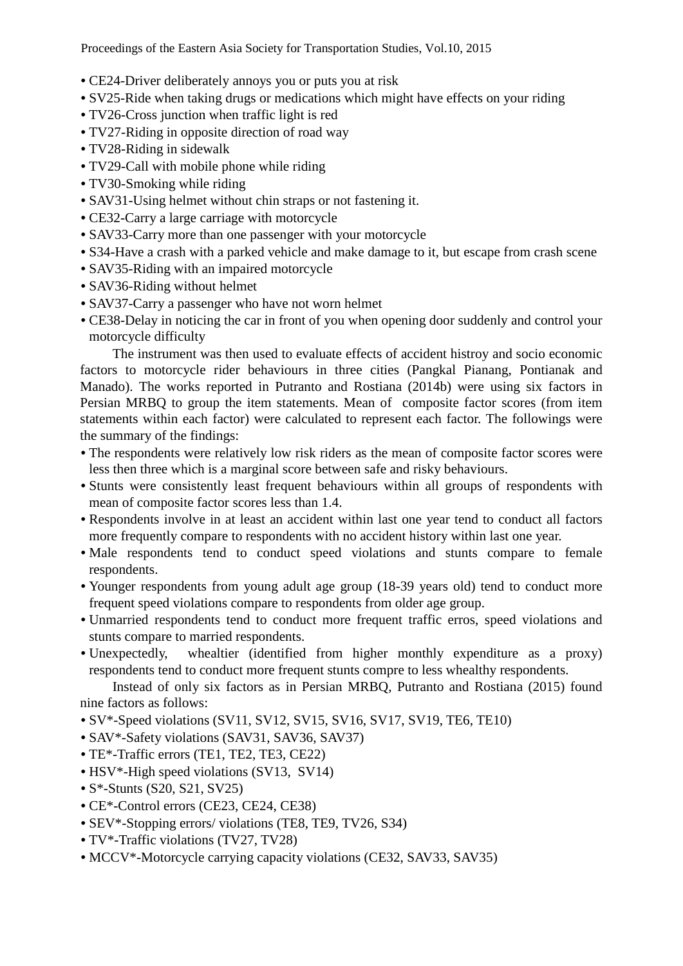Proceedings of the Eastern Asia Society for Transportation Studies, Vol.10, 2015

- CE24-Driver deliberately annoys you or puts you at risk
- SV25-Ride when taking drugs or medications which might have effects on your riding
- TV26-Cross junction when traffic light is red
- TV27-Riding in opposite direction of road way
- TV28-Riding in sidewalk
- TV29-Call with mobile phone while riding
- TV30-Smoking while riding
- SAV31-Using helmet without chin straps or not fastening it.
- CE32-Carry a large carriage with motorcycle
- SAV33-Carry more than one passenger with your motorcycle
- S34-Have a crash with a parked vehicle and make damage to it, but escape from crash scene
- SAV35-Riding with an impaired motorcycle
- SAV36-Riding without helmet
- SAV37-Carry a passenger who have not worn helmet
- CE38-Delay in noticing the car in front of you when opening door suddenly and control your motorcycle difficulty

The instrument was then used to evaluate effects of accident histroy and socio economic factors to motorcycle rider behaviours in three cities (Pangkal Pianang, Pontianak and Manado). The works reported in Putranto and Rostiana (2014b) were using six factors in Persian MRBQ to group the item statements. Mean of composite factor scores (from item statements within each factor) were calculated to represent each factor. The followings were the summary of the findings:

- The respondents were relatively low risk riders as the mean of composite factor scores were less then three which is a marginal score between safe and risky behaviours.
- Stunts were consistently least frequent behaviours within all groups of respondents with mean of composite factor scores less than 1.4.
- Respondents involve in at least an accident within last one year tend to conduct all factors more frequently compare to respondents with no accident history within last one year.
- Male respondents tend to conduct speed violations and stunts compare to female respondents.
- Younger respondents from young adult age group (18-39 years old) tend to conduct more frequent speed violations compare to respondents from older age group.
- Unmarried respondents tend to conduct more frequent traffic erros, speed violations and stunts compare to married respondents.
- Unexpectedly, whealtier (identified from higher monthly expenditure as a proxy) respondents tend to conduct more frequent stunts compre to less whealthy respondents.

Instead of only six factors as in Persian MRBQ, Putranto and Rostiana (2015) found nine factors as follows:

- SV\*-Speed violations (SV11, SV12, SV15, SV16, SV17, SV19, TE6, TE10)
- SAV\*-Safety violations (SAV31, SAV36, SAV37)
- TE\*-Traffic errors (TE1, TE2, TE3, CE22)
- HSV\*-High speed violations (SV13, SV14)
- S<sup>\*</sup>-Stunts (S20, S21, SV25)
- CE\*-Control errors (CE23, CE24, CE38)
- SEV\*-Stopping errors/ violations (TE8, TE9, TV26, S34)
- TV\*-Traffic violations (TV27, TV28)
- MCCV\*-Motorcycle carrying capacity violations (CE32, SAV33, SAV35)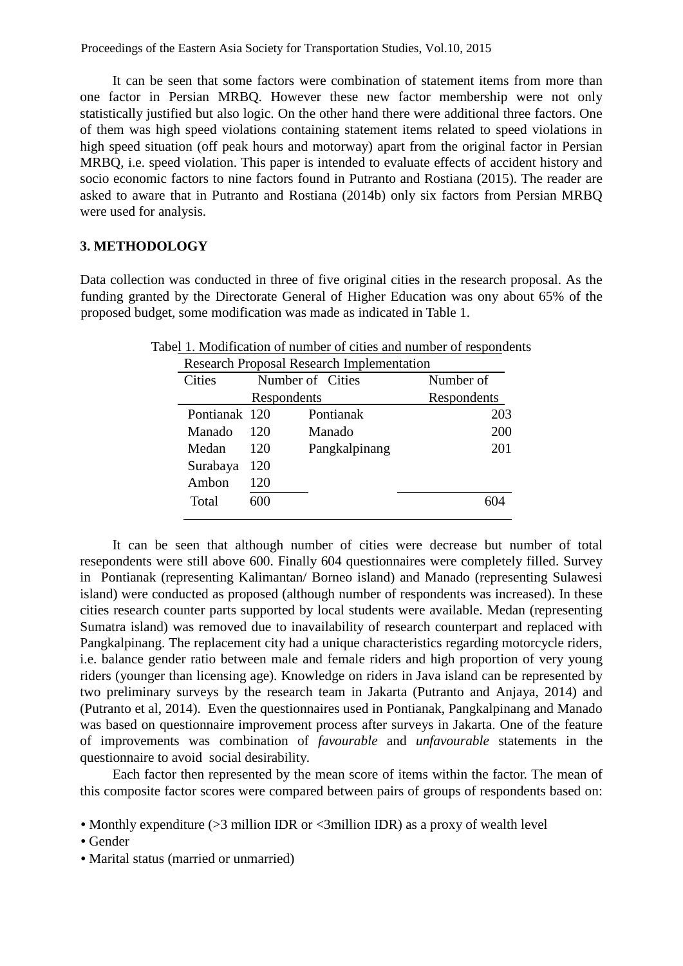Proceedings of the Eastern Asia Society for Transportation Studies, Vol.10, 2015

It can be seen that some factors were combination of statement items from more than one factor in Persian MRBQ. However these new factor membership were not only statistically justified but also logic. On the other hand there were additional three factors. One of them was high speed violations containing statement items related to speed violations in high speed situation (off peak hours and motorway) apart from the original factor in Persian MRBQ, i.e. speed violation. This paper is intended to evaluate effects of accident history and socio economic factors to nine factors found in Putranto and Rostiana (2015). The reader are asked to aware that in Putranto and Rostiana (2014b) only six factors from Persian MRBQ were used for analysis.

## **3. METHODOLOGY**

Data collection was conducted in three of five original cities in the research proposal. As the funding granted by the Directorate General of Higher Education was ony about 65% of the proposed budget, some modification was made as indicated in Table 1.

| <b>Research Proposal Research Implementation</b> |     |                  |             |  |  |
|--------------------------------------------------|-----|------------------|-------------|--|--|
| <b>Cities</b>                                    |     | Number of Cities | Number of   |  |  |
|                                                  |     | Respondents      | Respondents |  |  |
| Pontianak 120                                    |     | Pontianak        | 203         |  |  |
| Manado                                           | 120 | Manado           | 200         |  |  |
| Medan                                            | 120 | Pangkalpinang    | 201         |  |  |
| Surabaya                                         | 120 |                  |             |  |  |
| Ambon                                            | 120 |                  |             |  |  |
| Total                                            | 600 |                  |             |  |  |

Tabel 1. Modification of number of cities and number of respondents

It can be seen that although number of cities were decrease but number of total resepondents were still above 600. Finally 604 questionnaires were completely filled. Survey in Pontianak (representing Kalimantan/ Borneo island) and Manado (representing Sulawesi island) were conducted as proposed (although number of respondents was increased). In these cities research counter parts supported by local students were available. Medan (representing Sumatra island) was removed due to inavailability of research counterpart and replaced with Pangkalpinang. The replacement city had a unique characteristics regarding motorcycle riders, i.e. balance gender ratio between male and female riders and high proportion of very young riders (younger than licensing age). Knowledge on riders in Java island can be represented by two preliminary surveys by the research team in Jakarta (Putranto and Anjaya, 2014) and (Putranto et al, 2014). Even the questionnaires used in Pontianak, Pangkalpinang and Manado was based on questionnaire improvement process after surveys in Jakarta. One of the feature of improvements was combination of *favourable* and *unfavourable* statements in the questionnaire to avoid social desirability*.*

Each factor then represented by the mean score of items within the factor. The mean of this composite factor scores were compared between pairs of groups of respondents based on:

• Marital status (married or unmarried)

<sup>•</sup> Monthly expenditure (>3 million IDR or <3 million IDR) as a proxy of wealth level

<sup>•</sup> Gender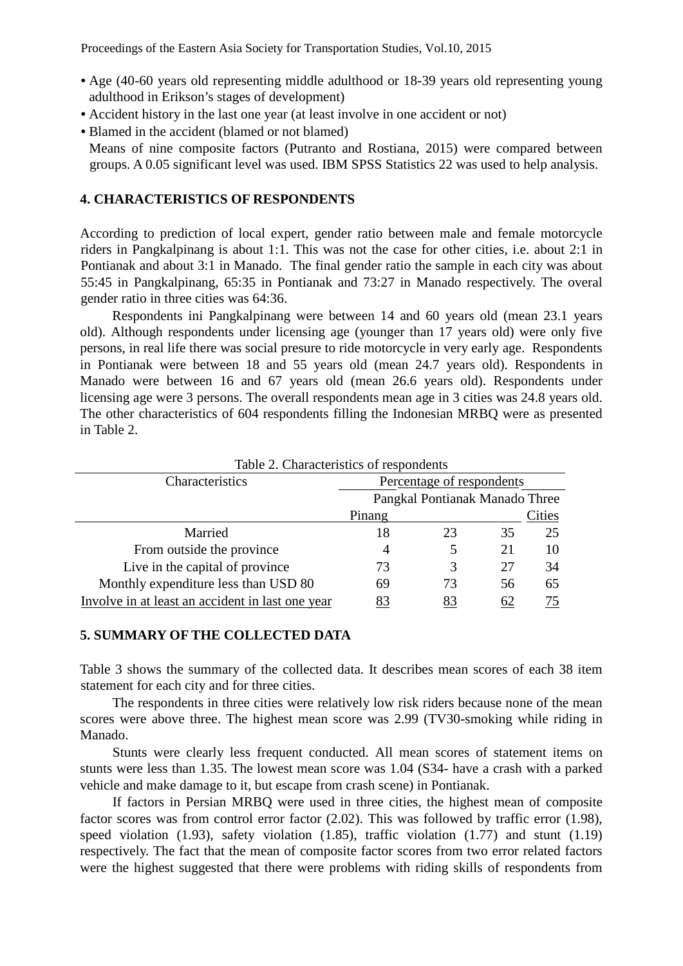- Age (40-60 years old representing middle adulthood or 18-39 years old representing young adulthood in Erikson's stages of development)
- Accident history in the last one year (at least involve in one accident or not)
- Blamed in the accident (blamed or not blamed)

Means of nine composite factors (Putranto and Rostiana, 2015) were compared between groups. A 0.05 significant level was used. IBM SPSS Statistics 22 was used to help analysis.

## **4. CHARACTERISTICS OF RESPONDENTS**

According to prediction of local expert, gender ratio between male and female motorcycle riders in Pangkalpinang is about 1:1. This was not the case for other cities, i.e. about 2:1 in Pontianak and about 3:1 in Manado. The final gender ratio the sample in each city was about 55:45 in Pangkalpinang, 65:35 in Pontianak and 73:27 in Manado respectively. The overal gender ratio in three cities was 64:36.

Respondents ini Pangkalpinang were between 14 and 60 years old (mean 23.1 years old). Although respondents under licensing age (younger than 17 years old) were only five persons, in real life there was social presure to ride motorcycle in very early age. Respondents in Pontianak were between 18 and 55 years old (mean 24.7 years old). Respondents in Manado were between 16 and 67 years old (mean 26.6 years old). Respondents under licensing age were 3 persons. The overall respondents mean age in 3 cities was 24.8 years old. The other characteristics of 604 respondents filling the Indonesian MRBQ were as presented in Table 2.

| Characteristics                                  | Percentage of respondents |                                |    |        |
|--------------------------------------------------|---------------------------|--------------------------------|----|--------|
|                                                  |                           | Pangkal Pontianak Manado Three |    |        |
|                                                  | Pinang                    |                                |    | Cities |
| Married                                          | 18                        | 23                             | 35 | 25     |
| From outside the province                        |                           |                                | 21 | 10     |
| Live in the capital of province                  | 73                        | 3                              | 27 | 34     |
| Monthly expenditure less than USD 80             | 69                        | 73                             | 56 | 65     |
| Involve in at least an accident in last one year | 83                        |                                | 62 |        |

Table 2. Characteristics of respondents

## **5. SUMMARY OF THE COLLECTED DATA**

Table 3 shows the summary of the collected data. It describes mean scores of each 38 item statement for each city and for three cities.

The respondents in three cities were relatively low risk riders because none of the mean scores were above three. The highest mean score was 2.99 (TV30-smoking while riding in Manado.

Stunts were clearly less frequent conducted. All mean scores of statement items on stunts were less than 1.35. The lowest mean score was 1.04 (S34- have a crash with a parked vehicle and make damage to it, but escape from crash scene) in Pontianak.

If factors in Persian MRBQ were used in three cities, the highest mean of composite factor scores was from control error factor (2.02). This was followed by traffic error (1.98), speed violation (1.93), safety violation (1.85), traffic violation (1.77) and stunt (1.19) respectively. The fact that the mean of composite factor scores from two error related factors were the highest suggested that there were problems with riding skills of respondents from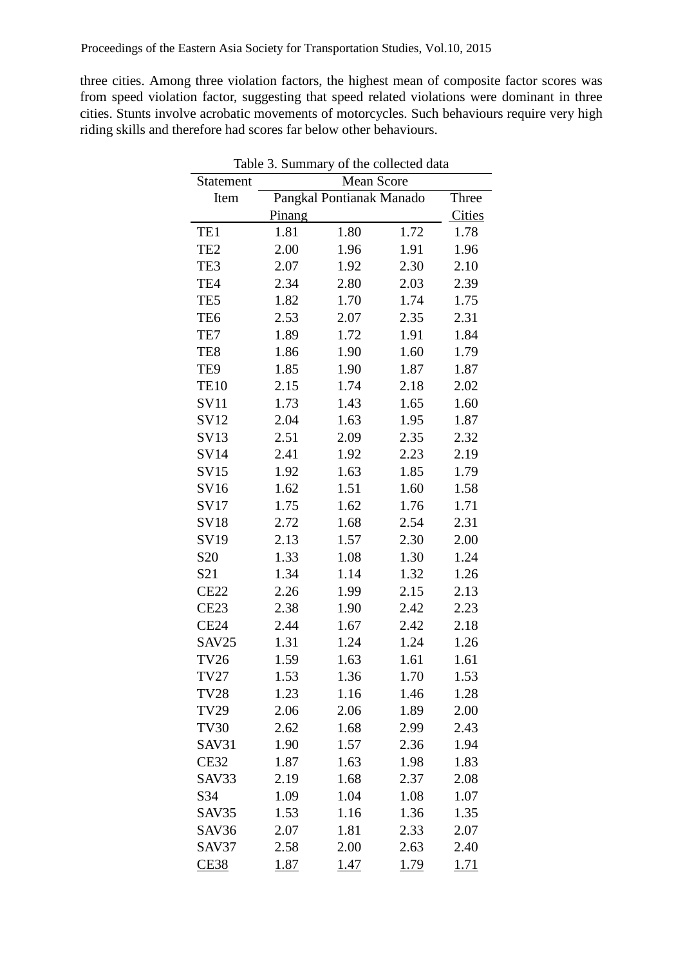three cities. Among three violation factors, the highest mean of composite factor scores was from speed violation factor, suggesting that speed related violations were dominant in three cities. Stunts involve acrobatic movements of motorcycles. Such behaviours require very high riding skills and therefore had scores far below other behaviours.

|                 | Table 3. Summary of the collected data |                          |      |        |  |  |  |
|-----------------|----------------------------------------|--------------------------|------|--------|--|--|--|
| Statement       | Mean Score                             |                          |      |        |  |  |  |
| Item            |                                        | Pangkal Pontianak Manado |      | Three  |  |  |  |
|                 | Pinang                                 |                          |      | Cities |  |  |  |
| TE1             | 1.81                                   | 1.80                     | 1.72 | 1.78   |  |  |  |
| TE <sub>2</sub> | 2.00                                   | 1.96                     | 1.91 | 1.96   |  |  |  |
| TE3             | 2.07                                   | 1.92                     | 2.30 | 2.10   |  |  |  |
| TE4             | 2.34                                   | 2.80                     | 2.03 | 2.39   |  |  |  |
| TE5             | 1.82                                   | 1.70                     | 1.74 | 1.75   |  |  |  |
| TE <sub>6</sub> | 2.53                                   | 2.07                     | 2.35 | 2.31   |  |  |  |
| TE7             | 1.89                                   | 1.72                     | 1.91 | 1.84   |  |  |  |
| TE8             | 1.86                                   | 1.90                     | 1.60 | 1.79   |  |  |  |
| TE9             | 1.85                                   | 1.90                     | 1.87 | 1.87   |  |  |  |
| <b>TE10</b>     | 2.15                                   | 1.74                     | 2.18 | 2.02   |  |  |  |
| <b>SV11</b>     | 1.73                                   | 1.43                     | 1.65 | 1.60   |  |  |  |
| SV12            | 2.04                                   | 1.63                     | 1.95 | 1.87   |  |  |  |
| SV13            | 2.51                                   | 2.09                     | 2.35 | 2.32   |  |  |  |
| SV14            | 2.41                                   | 1.92                     | 2.23 | 2.19   |  |  |  |
| SV15            | 1.92                                   | 1.63                     | 1.85 | 1.79   |  |  |  |
| SV16            | 1.62                                   | 1.51                     | 1.60 | 1.58   |  |  |  |
| SV17            | 1.75                                   | 1.62                     | 1.76 | 1.71   |  |  |  |
| <b>SV18</b>     | 2.72                                   | 1.68                     | 2.54 | 2.31   |  |  |  |
| SV19            | 2.13                                   | 1.57                     | 2.30 | 2.00   |  |  |  |
| S <sub>20</sub> | 1.33                                   | 1.08                     | 1.30 | 1.24   |  |  |  |
| S21             | 1.34                                   | 1.14                     | 1.32 | 1.26   |  |  |  |
| <b>CE22</b>     | 2.26                                   | 1.99                     | 2.15 | 2.13   |  |  |  |
| <b>CE23</b>     | 2.38                                   | 1.90                     | 2.42 | 2.23   |  |  |  |
| <b>CE24</b>     | 2.44                                   | 1.67                     | 2.42 | 2.18   |  |  |  |
| SAV25           | 1.31                                   | 1.24                     | 1.24 | 1.26   |  |  |  |
| <b>TV26</b>     | 1.59                                   | 1.63                     | 1.61 | 1.61   |  |  |  |
| TV27            | 1.53                                   | 1.36                     | 1.70 | 1.53   |  |  |  |
| <b>TV28</b>     | 1.23                                   | 1.16                     | 1.46 | 1.28   |  |  |  |
| <b>TV29</b>     | 2.06                                   | 2.06                     | 1.89 | 2.00   |  |  |  |
| <b>TV30</b>     | 2.62                                   | 1.68                     | 2.99 | 2.43   |  |  |  |
| SAV31           | 1.90                                   | 1.57                     | 2.36 | 1.94   |  |  |  |
| <b>CE32</b>     | 1.87                                   | 1.63                     | 1.98 | 1.83   |  |  |  |
| SAV33           | 2.19                                   | 1.68                     | 2.37 | 2.08   |  |  |  |
| S34             | 1.09                                   | 1.04                     | 1.08 | 1.07   |  |  |  |
| SAV35           | 1.53                                   | 1.16                     | 1.36 | 1.35   |  |  |  |
| SAV36           | 2.07                                   | 1.81                     | 2.33 | 2.07   |  |  |  |
| SAV37           | 2.58                                   | 2.00                     | 2.63 | 2.40   |  |  |  |
| <b>CE38</b>     | 1.87                                   | 1.47                     | 1.79 | 1.71   |  |  |  |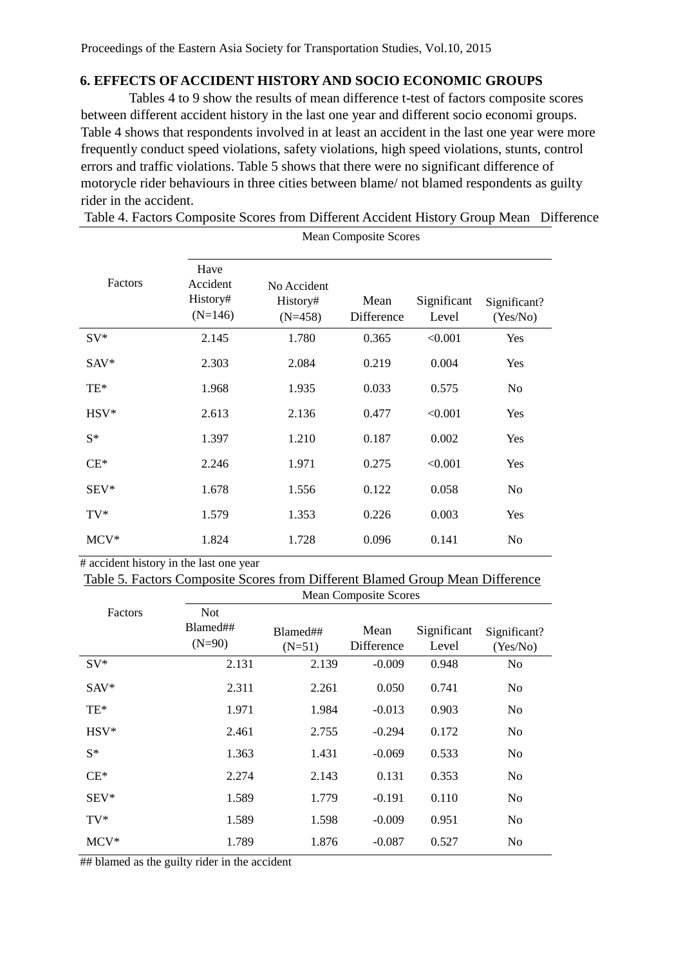## **6. EFFECTS OF ACCIDENT HISTORY AND SOCIO ECONOMIC GROUPS**

Tables 4 to 9 show the results of mean difference t-test of factors composite scores between different accident history in the last one year and different socio economi groups. Table 4 shows that respondents involved in at least an accident in the last one year were more frequently conduct speed violations, safety violations, high speed violations, stunts, control errors and traffic violations. Table 5 shows that there were no significant difference of motorycle rider behaviours in three cities between blame/ not blamed respondents as guilty rider in the accident.

Table 4. Factors Composite Scores from Different Accident History Group Mean Difference

|         | <b>Mean Composite Scores</b>              |                                      |                    |                      |                          |  |  |
|---------|-------------------------------------------|--------------------------------------|--------------------|----------------------|--------------------------|--|--|
| Factors | Have<br>Accident<br>History#<br>$(N=146)$ | No Accident<br>History#<br>$(N=458)$ | Mean<br>Difference | Significant<br>Level | Significant?<br>(Yes/No) |  |  |
| $SV^*$  | 2.145                                     | 1.780                                | 0.365              | < 0.001              | Yes                      |  |  |
| $SAV^*$ | 2.303                                     | 2.084                                | 0.219              | 0.004                | Yes                      |  |  |
| TE*     | 1.968                                     | 1.935                                | 0.033              | 0.575                | N <sub>o</sub>           |  |  |
| $HSV*$  | 2.613                                     | 2.136                                | 0.477              | < 0.001              | Yes                      |  |  |
| $S^*$   | 1.397                                     | 1.210                                | 0.187              | 0.002                | Yes                      |  |  |
| $CE^*$  | 2.246                                     | 1.971                                | 0.275              | < 0.001              | Yes                      |  |  |
| $SEV^*$ | 1.678                                     | 1.556                                | 0.122              | 0.058                | N <sub>o</sub>           |  |  |
| $TV^*$  | 1.579                                     | 1.353                                | 0.226              | 0.003                | Yes                      |  |  |
| $MCV^*$ | 1.824                                     | 1.728                                | 0.096              | 0.141                | N <sub>o</sub>           |  |  |

# accident history in the last one year

Table 5. Factors Composite Scores from Different Blamed Group Mean Difference

|         | <b>Mean Composite Scores</b> |          |            |             |                |
|---------|------------------------------|----------|------------|-------------|----------------|
| Factors | <b>Not</b><br>Blamed##       | Blamed## | Mean       | Significant | Significant?   |
|         | $(N=90)$                     | $(N=51)$ | Difference | Level       | (Yes/No)       |
| $SV^*$  | 2.131                        | 2.139    | $-0.009$   | 0.948       | N <sub>o</sub> |
| $SAV^*$ | 2.311                        | 2.261    | 0.050      | 0.741       | N <sub>0</sub> |
| TE*     | 1.971                        | 1.984    | $-0.013$   | 0.903       | No             |
| $HSV*$  | 2.461                        | 2.755    | $-0.294$   | 0.172       | No             |
| $S^*$   | 1.363                        | 1.431    | $-0.069$   | 0.533       | No             |
| $CE^*$  | 2.274                        | 2.143    | 0.131      | 0.353       | N <sub>0</sub> |
| $SEV^*$ | 1.589                        | 1.779    | $-0.191$   | 0.110       | N <sub>0</sub> |
| $TV^*$  | 1.589                        | 1.598    | $-0.009$   | 0.951       | No             |
| $MCV^*$ | 1.789                        | 1.876    | $-0.087$   | 0.527       | No             |

## blamed as the guilty rider in the accident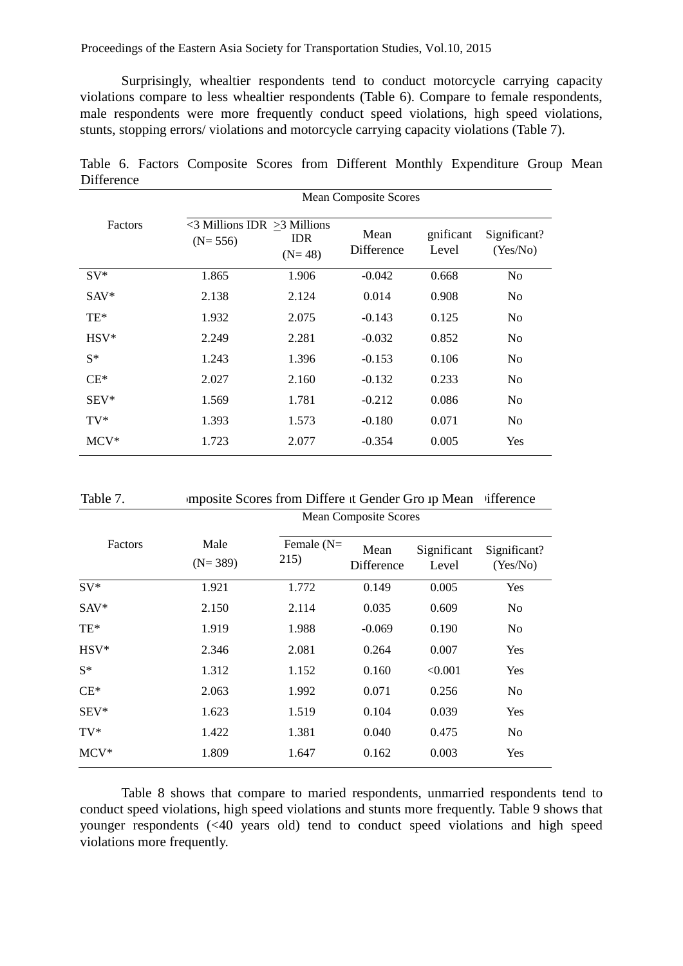Surprisingly, whealtier respondents tend to conduct motorcycle carrying capacity violations compare to less whealtier respondents (Table 6). Compare to female respondents, male respondents were more frequently conduct speed violations, high speed violations, stunts, stopping errors/ violations and motorcycle carrying capacity violations (Table 7).

Table 6. Factors Composite Scores from Different Monthly Expenditure Group Mean Difference

|         | <b>Mean Composite Scores</b>                         |                        |                    |                    |                          |  |  |
|---------|------------------------------------------------------|------------------------|--------------------|--------------------|--------------------------|--|--|
| Factors | $\leq$ 3 Millions IDR $\geq$ 3 Millions<br>$(N=556)$ | <b>IDR</b><br>$(N=48)$ | Mean<br>Difference | gnificant<br>Level | Significant?<br>(Yes/No) |  |  |
| $SV^*$  | 1.865                                                | 1.906                  | $-0.042$           | 0.668              | N <sub>o</sub>           |  |  |
| $SAV^*$ | 2.138                                                | 2.124                  | 0.014              | 0.908              | No                       |  |  |
| $TE*$   | 1.932                                                | 2.075                  | $-0.143$           | 0.125              | N <sub>0</sub>           |  |  |
| $HSV*$  | 2.249                                                | 2.281                  | $-0.032$           | 0.852              | N <sub>0</sub>           |  |  |
| $S^*$   | 1.243                                                | 1.396                  | $-0.153$           | 0.106              | N <sub>0</sub>           |  |  |
| $CE^*$  | 2.027                                                | 2.160                  | $-0.132$           | 0.233              | No                       |  |  |
| $SEV^*$ | 1.569                                                | 1.781                  | $-0.212$           | 0.086              | N <sub>0</sub>           |  |  |
| $TV^*$  | 1.393                                                | 1.573                  | $-0.180$           | 0.071              | N <sub>0</sub>           |  |  |
| $MCV^*$ | 1.723                                                | 2.077                  | $-0.354$           | 0.005              | Yes                      |  |  |

| Table 7. | imposite Scores from Differe it Gender Gro ip Mean ifference |  |
|----------|--------------------------------------------------------------|--|
|          | $\mathbf{M}$ $\alpha$ $\alpha$                               |  |

|         | <b>Mean Composite Scores</b> |                      |                    |                      |                          |  |  |
|---------|------------------------------|----------------------|--------------------|----------------------|--------------------------|--|--|
| Factors | Male<br>$(N=389)$            | Female $(N=$<br>215) | Mean<br>Difference | Significant<br>Level | Significant?<br>(Yes/No) |  |  |
| $SV^*$  | 1.921                        | 1.772                | 0.149              | 0.005                | Yes                      |  |  |
| SAV*    | 2.150                        | 2.114                | 0.035              | 0.609                | N <sub>o</sub>           |  |  |
| TE*     | 1.919                        | 1.988                | $-0.069$           | 0.190                | N <sub>o</sub>           |  |  |
| HSV*    | 2.346                        | 2.081                | 0.264              | 0.007                | <b>Yes</b>               |  |  |
| $S^*$   | 1.312                        | 1.152                | 0.160              | < 0.001              | <b>Yes</b>               |  |  |
| $CE*$   | 2.063                        | 1.992                | 0.071              | 0.256                | N <sub>o</sub>           |  |  |
| $SEV^*$ | 1.623                        | 1.519                | 0.104              | 0.039                | <b>Yes</b>               |  |  |
| $TV^*$  | 1.422                        | 1.381                | 0.040              | 0.475                | N <sub>o</sub>           |  |  |
| $MCV^*$ | 1.809                        | 1.647                | 0.162              | 0.003                | Yes                      |  |  |

Table 8 shows that compare to maried respondents, unmarried respondents tend to conduct speed violations, high speed violations and stunts more frequently. Table 9 shows that younger respondents (<40 years old) tend to conduct speed violations and high speed violations more frequently.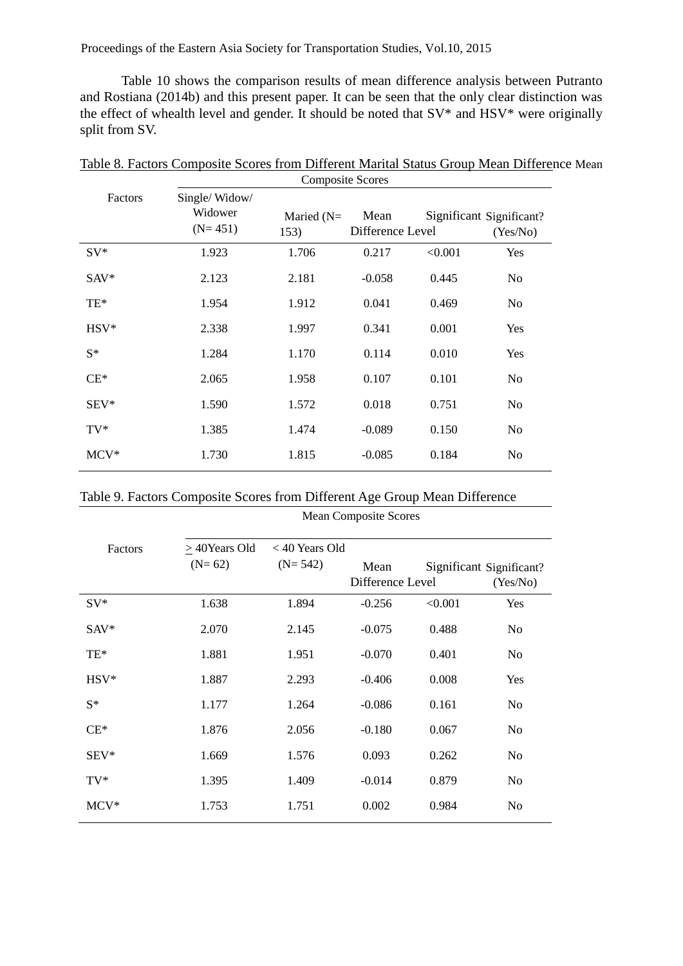Proceedings of the Eastern Asia Society for Transportation Studies, Vol.10, 2015

Table 10 shows the comparison results of mean difference analysis between Putranto and Rostiana (2014b) and this present paper. It can be seen that the only clear distinction was the effect of whealth level and gender. It should be noted that SV\* and HSV\* were originally split from SV.

|         |                                       | Composite Scores     |                          |         |                                      |
|---------|---------------------------------------|----------------------|--------------------------|---------|--------------------------------------|
| Factors | Single/Widow/<br>Widower<br>$(N=451)$ | Maried $(N=$<br>153) | Mean<br>Difference Level |         | Significant Significant?<br>(Yes/No) |
| $SV^*$  | 1.923                                 | 1.706                | 0.217                    | < 0.001 | Yes                                  |
| SAV*    | 2.123                                 | 2.181                | $-0.058$                 | 0.445   | N <sub>0</sub>                       |
| TE*     | 1.954                                 | 1.912                | 0.041                    | 0.469   | No                                   |
| $HSV*$  | 2.338                                 | 1.997                | 0.341                    | 0.001   | Yes                                  |
| $S^*$   | 1.284                                 | 1.170                | 0.114                    | 0.010   | Yes                                  |
| $CE^*$  | 2.065                                 | 1.958                | 0.107                    | 0.101   | N <sub>0</sub>                       |
| $SEV^*$ | 1.590                                 | 1.572                | 0.018                    | 0.751   | No                                   |
| $TV^*$  | 1.385                                 | 1.474                | $-0.089$                 | 0.150   | N <sub>o</sub>                       |
| $MCV^*$ | 1.730                                 | 1.815                | $-0.085$                 | 0.184   | N <sub>0</sub>                       |

Table 8. Factors Composite Scores from Different Marital Status Group Mean Difference Mean  $\mathcal{L}$ 

|  |  | Table 9. Factors Composite Scores from Different Age Group Mean Difference |  |  |
|--|--|----------------------------------------------------------------------------|--|--|
|  |  |                                                                            |  |  |

|         | <b>Mean Composite Scores</b> |                               |                          |         |                                      |  |  |
|---------|------------------------------|-------------------------------|--------------------------|---------|--------------------------------------|--|--|
| Factors | > 40 Years Old<br>$(N=62)$   | $<$ 40 Years Old<br>$(N=542)$ | Mean<br>Difference Level |         | Significant Significant?<br>(Yes/No) |  |  |
| $SV^*$  | 1.638                        | 1.894                         | $-0.256$                 | < 0.001 | Yes                                  |  |  |
| $SAV^*$ | 2.070                        | 2.145                         | $-0.075$                 | 0.488   | <b>No</b>                            |  |  |
| TE*     | 1.881                        | 1.951                         | $-0.070$                 | 0.401   | N <sub>o</sub>                       |  |  |
| $HSV*$  | 1.887                        | 2.293                         | $-0.406$                 | 0.008   | Yes                                  |  |  |
| $S^*$   | 1.177                        | 1.264                         | $-0.086$                 | 0.161   | <b>No</b>                            |  |  |
| $CE^*$  | 1.876                        | 2.056                         | $-0.180$                 | 0.067   | No                                   |  |  |
| $SEV^*$ | 1.669                        | 1.576                         | 0.093                    | 0.262   | No                                   |  |  |
| $TV^*$  | 1.395                        | 1.409                         | $-0.014$                 | 0.879   | No                                   |  |  |
| $MCV^*$ | 1.753                        | 1.751                         | 0.002                    | 0.984   | No                                   |  |  |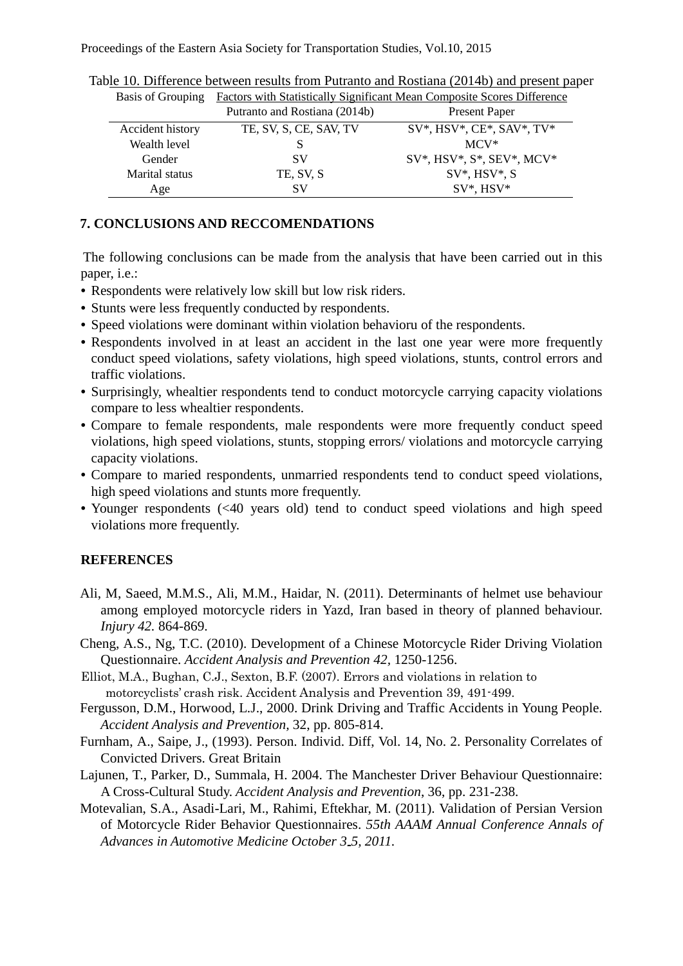| <b>Basis of Grouping</b> | <b>Factors with Statistically Significant Mean Composite Scores Difference</b> |                                   |  |  |  |
|--------------------------|--------------------------------------------------------------------------------|-----------------------------------|--|--|--|
|                          | Putranto and Rostiana (2014b)                                                  | <b>Present Paper</b>              |  |  |  |
| Accident history         | TE, SV, S, CE, SAV, TV                                                         | $SV^*$ , HSV*, CE*, SAV*, TV*     |  |  |  |
| Wealth level             | S                                                                              | $MCV^*$                           |  |  |  |
| Gender                   | SV                                                                             | $SV^*$ , HSV*, $S^*$ , SEV*, MCV* |  |  |  |
| Marital status           | TE, SV, S                                                                      | $SV^*$ , HSV*, S                  |  |  |  |
| Age                      | SV                                                                             | $SV^*$ , $HSV^*$                  |  |  |  |

Table 10. Difference between results from Putranto and Rostiana (2014b) and present paper

# **7. CONCLUSIONS AND RECCOMENDATIONS**

The following conclusions can be made from the analysis that have been carried out in this paper, i.e.:

- Respondents were relatively low skill but low risk riders.
- Stunts were less frequently conducted by respondents.
- Speed violations were dominant within violation behavioru of the respondents.
- Respondents involved in at least an accident in the last one year were more frequently conduct speed violations, safety violations, high speed violations, stunts, control errors and traffic violations.
- Surprisingly, whealtier respondents tend to conduct motorcycle carrying capacity violations compare to less whealtier respondents.
- Compare to female respondents, male respondents were more frequently conduct speed violations, high speed violations, stunts, stopping errors/ violations and motorcycle carrying capacity violations.
- Compare to maried respondents, unmarried respondents tend to conduct speed violations, high speed violations and stunts more frequently.
- Younger respondents (<40 years old) tend to conduct speed violations and high speed violations more frequently.

# **REFERENCES**

- Ali, M, Saeed, M.M.S., Ali, M.M., Haidar, N. (2011). Determinants of helmet use behaviour among employed motorcycle riders in Yazd, Iran based in theory of planned behaviour. *Injury 42.* 864-869.
- Cheng, A.S., Ng, T.C. (2010). Development of a Chinese Motorcycle Rider Driving Violation Questionnaire. *Accident Analysis and Prevention 42,* 1250-1256.
- Elliot, M.A., Bughan, C.J., Sexton, B.F. (2007). Errors and violations in relation to motorcyclists' crash risk. Accident Analysis and Prevention 39, 491-499.
- Fergusson, D.M., Horwood, L.J., 2000. Drink Driving and Traffic Accidents in Young People. *Accident Analysis and Prevention,* 32, pp. 805-814.
- Furnham, A., Saipe, J., (1993). Person. Individ. Diff, Vol. 14, No. 2. Personality Correlates of Convicted Drivers. Great Britain
- Lajunen, T., Parker, D., Summala, H. 2004. The Manchester Driver Behaviour Questionnaire: A Cross-Cultural Study. *Accident Analysis and Prevention*, 36, pp. 231-238.
- Motevalian, S.A., Asadi-Lari, M., Rahimi, Eftekhar, M. (2011). Validation of Persian Version of Motorcycle Rider Behavior Questionnaires. *55th AAAM Annual Conference Annals of Advances in Automotive Medicine October 3 5, 2011.*